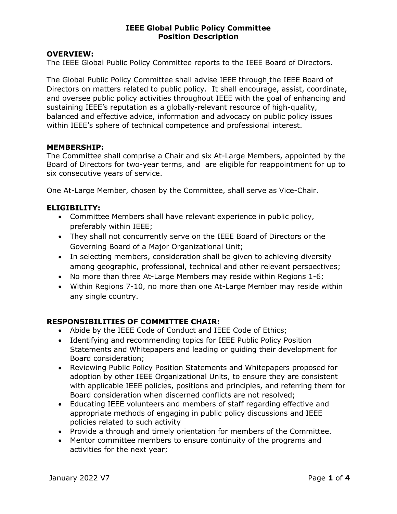### OVERVIEW:

The IEEE Global Public Policy Committee reports to the IEEE Board of Directors.

The Global Public Policy Committee shall advise IEEE through the IEEE Board of Directors on matters related to public policy. It shall encourage, assist, coordinate, and oversee public policy activities throughout IEEE with the goal of enhancing and sustaining IEEE's reputation as a globally-relevant resource of high-quality, balanced and effective advice, information and advocacy on public policy issues within IEEE's sphere of technical competence and professional interest.

### MEMBERSHIP:

The Committee shall comprise a Chair and six At-Large Members, appointed by the Board of Directors for two-year terms, and are eligible for reappointment for up to six consecutive years of service.

One At-Large Member, chosen by the Committee, shall serve as Vice-Chair.

### ELIGIBILITY:

- Committee Members shall have relevant experience in public policy, preferably within IEEE;
- They shall not concurrently serve on the IEEE Board of Directors or the Governing Board of a Major Organizational Unit;
- In selecting members, consideration shall be given to achieving diversity among geographic, professional, technical and other relevant perspectives;
- No more than three At-Large Members may reside within Regions 1-6;
- Within Regions 7-10, no more than one At-Large Member may reside within any single country.

## RESPONSIBILITIES OF COMMITTEE CHAIR:

- Abide by the IEEE Code of Conduct and IEEE Code of Ethics;
- Identifying and recommending topics for IEEE Public Policy Position Statements and Whitepapers and leading or guiding their development for Board consideration;
- Reviewing Public Policy Position Statements and Whitepapers proposed for adoption by other IEEE Organizational Units, to ensure they are consistent with applicable IEEE policies, positions and principles, and referring them for Board consideration when discerned conflicts are not resolved;
- Educating IEEE volunteers and members of staff regarding effective and appropriate methods of engaging in public policy discussions and IEEE policies related to such activity
- Provide a through and timely orientation for members of the Committee.
- Mentor committee members to ensure continuity of the programs and activities for the next year;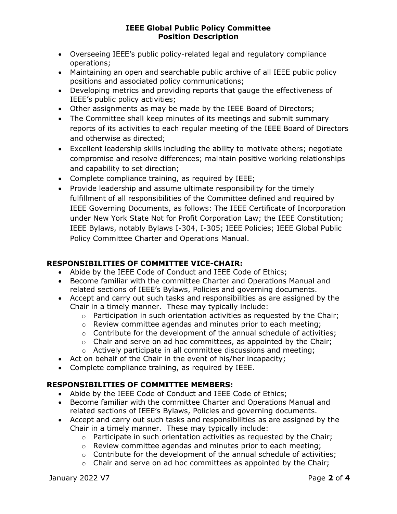- Overseeing IEEE's public policy-related legal and regulatory compliance operations;
- Maintaining an open and searchable public archive of all IEEE public policy positions and associated policy communications;
- Developing metrics and providing reports that gauge the effectiveness of IEEE's public policy activities;
- Other assignments as may be made by the IEEE Board of Directors;
- The Committee shall keep minutes of its meetings and submit summary reports of its activities to each regular meeting of the IEEE Board of Directors and otherwise as directed;
- Excellent leadership skills including the ability to motivate others; negotiate compromise and resolve differences; maintain positive working relationships and capability to set direction;
- Complete compliance training, as required by IEEE;
- Provide leadership and assume ultimate responsibility for the timely fulfillment of all responsibilities of the Committee defined and required by IEEE Governing Documents, as follows: The IEEE Certificate of Incorporation under New York State Not for Profit Corporation Law; the IEEE Constitution; IEEE Bylaws, notably Bylaws I-304, I-305; IEEE Policies; IEEE Global Public Policy Committee Charter and Operations Manual.

# RESPONSIBILITIES OF COMMITTEE VICE-CHAIR:

- Abide by the IEEE Code of Conduct and IEEE Code of Ethics;
- Become familiar with the committee Charter and Operations Manual and related sections of IEEE's Bylaws, Policies and governing documents.
- Accept and carry out such tasks and responsibilities as are assigned by the Chair in a timely manner. These may typically include:
	- $\circ$  Participation in such orientation activities as requested by the Chair;
	- o Review committee agendas and minutes prior to each meeting;
	- $\circ$  Contribute for the development of the annual schedule of activities;
	- $\circ$  Chair and serve on ad hoc committees, as appointed by the Chair;
	- o Actively participate in all committee discussions and meeting;
- Act on behalf of the Chair in the event of his/her incapacity;
- Complete compliance training, as required by IEEE.

# RESPONSIBILITIES OF COMMITTEE MEMBERS:

- Abide by the IEEE Code of Conduct and IEEE Code of Ethics;
- Become familiar with the committee Charter and Operations Manual and related sections of IEEE's Bylaws, Policies and governing documents.
- Accept and carry out such tasks and responsibilities as are assigned by the Chair in a timely manner. These may typically include:
	- $\circ$  Participate in such orientation activities as requested by the Chair;
	- o Review committee agendas and minutes prior to each meeting;
	- o Contribute for the development of the annual schedule of activities;
	- $\circ$  Chair and serve on ad hoc committees as appointed by the Chair;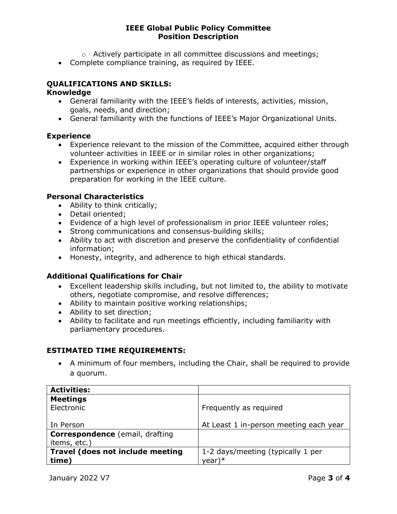- o Actively participate in all committee discussions and meetings;
- Complete compliance training, as required by IEEE.

# QUALIFICATIONS AND SKILLS:

### Knowledge

- General familiarity with the IEEE's fields of interests, activities, mission, goals, needs, and direction;
- General familiarity with the functions of IEEE's Major Organizational Units.

## Experience

- Experience relevant to the mission of the Committee, acquired either through volunteer activities in IEEE or in similar roles in other organizations;
- Experience in working within IEEE's operating culture of volunteer/staff partnerships or experience in other organizations that should provide good preparation for working in the IEEE culture.

## Personal Characteristics

- Ability to think critically;
- Detail oriented;
- Evidence of a high level of professionalism in prior IEEE volunteer roles;
- Strong communications and consensus-building skills;
- Ability to act with discretion and preserve the confidentiality of confidential information;
- Honesty, integrity, and adherence to high ethical standards.

# Additional Qualifications for Chair

- Excellent leadership skills including, but not limited to, the ability to motivate others, negotiate compromise, and resolve differences;
- Ability to maintain positive working relationships;
- Ability to set direction;
- Ability to facilitate and run meetings efficiently, including familiarity with parliamentary procedures.

# ESTIMATED TIME REQUIREMENTS:

 A minimum of four members, including the Chair, shall be required to provide a quorum.

| <b>Activities:</b>                     |                                        |
|----------------------------------------|----------------------------------------|
| <b>Meetings</b>                        |                                        |
| Electronic                             | Frequently as required                 |
|                                        |                                        |
| In Person                              | At Least 1 in-person meeting each year |
| <b>Correspondence</b> (email, drafting |                                        |
| items, etc.)                           |                                        |
| Travel (does not include meeting       | 1-2 days/meeting (typically 1 per      |
| time)                                  | year)*                                 |